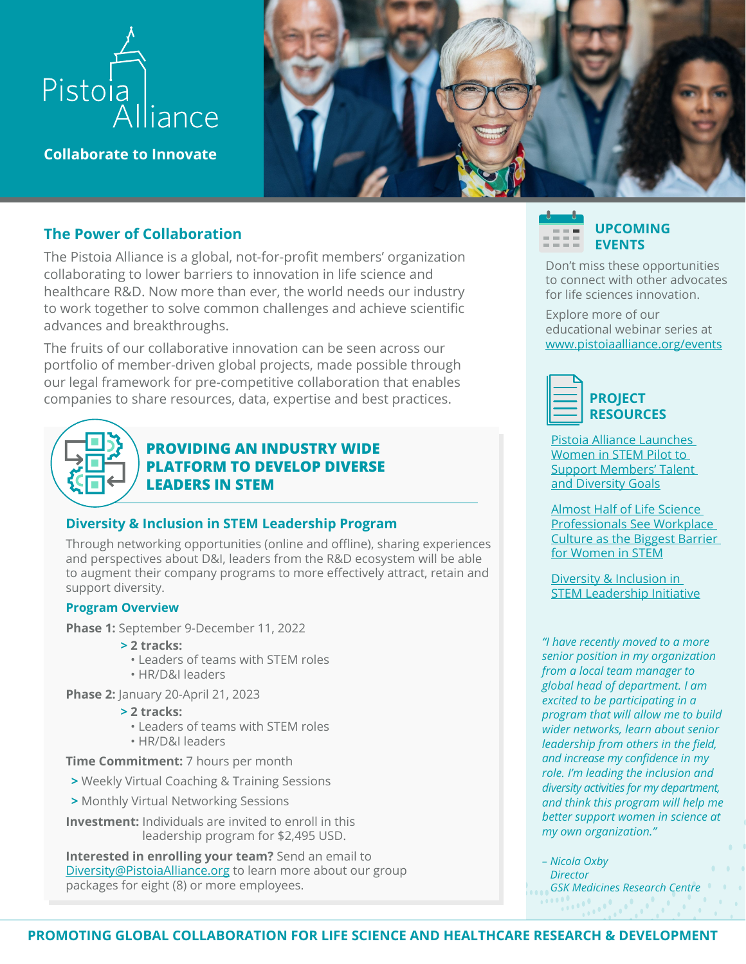

**Collaborate to Innovate**

# **The Power of Collaboration**

The Pistoia Alliance is a global, not-for-profit members' organization collaborating to lower barriers to innovation in life science and healthcare R&D. Now more than ever, the world needs our industry to work together to solve common challenges and achieve scientific advances and breakthroughs.

The fruits of our collaborative innovation can be seen across our portfolio of member-driven global projects, made possible through our legal framework for pre-competitive collaboration that enables companies to share resources, data, expertise and best practices.



# **PROVIDING AN INDUSTRY WIDE PLATFORM TO DEVELOP DIVERSE LEADERS IN STEM**

# **Diversity & Inclusion in STEM Leadership Program**

Through networking opportunities (online and offline), sharing experiences and perspectives about D&I, leaders from the R&D ecosystem will be able to augment their company programs to more effectively attract, retain and support diversity.

#### **Program Overview**

**Phase 1:** September 9-December 11, 2022

- **> 2 tracks:**
	- Leaders of teams with STEM roles
	- HR/D&I leaders

**Phase 2:** January 20-April 21, 2023

- **> 2 tracks:**
	- Leaders of teams with STEM roles
	- HR/D&I leaders

**Time Commitment:** 7 hours per month

- **>** Weekly Virtual Coaching & Training Sessions
- **>** Monthly Virtual Networking Sessions
- **Investment:** Individuals are invited to enroll in this leadership program for \$2,495 USD.

**Interested in enrolling your team?** Send an email to [Diversity@PistoiaAlliance.org](mailto:Diversity%40PistoiaAlliance.org?subject=) to learn more about our group packages for eight (8) or more employees.



Don't miss these opportunities to connect with other advocates for life sciences innovation.

Explore more of our educational webinar series at [www.pistoiaalliance.org/events](https://www.pistoiaalliance.org/events/)



[Pistoia Alliance Launches](https://www.pistoiaalliance.org/news/pistoia-alliance-launches-women-in-stem-leadership-pilot/  )  [Women in STEM Pilot to](https://www.pistoiaalliance.org/news/pistoia-alliance-launches-women-in-stem-leadership-pilot/  )  [Support Members' Talent](https://www.pistoiaalliance.org/news/pistoia-alliance-launches-women-in-stem-leadership-pilot/  )  [and Diversity Goals](https://www.pistoiaalliance.org/news/pistoia-alliance-launches-women-in-stem-leadership-pilot/  )

[Almost Half of Life Science](https://www.pistoiaalliance.org/news/women-in-stem-workplace-culture/  )  [Professionals See Workplace](https://www.pistoiaalliance.org/news/women-in-stem-workplace-culture/  )  [Culture as the Biggest Barrier](https://www.pistoiaalliance.org/news/women-in-stem-workplace-culture/  )  [for Women in STEM](https://www.pistoiaalliance.org/news/women-in-stem-workplace-culture/  )

[Diversity & Inclusion in](https://www.pistoiaalliance.org/projects/current-projects/diversity-inclusion-in-stem-leadership/)  [STEM Leadership Initiative](https://www.pistoiaalliance.org/projects/current-projects/diversity-inclusion-in-stem-leadership/)

*"I have recently moved to a more senior position in my organization from a local team manager to global head of department. I am excited to be participating in a program that will allow me to build wider networks, learn about senior leadership from others in the field, and increase my confidence in my role. I'm leading the inclusion and diversity activities for my department, and think this program will help me better support women in science at my own organization."*

*– Nicola Oxby Director GSK Medicines Research Centre*